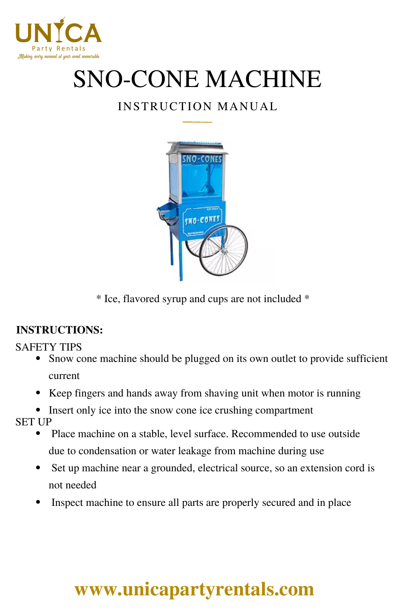

# SNO-CONE MACHINE

### INSTRUCTION MANUAL



\* Ice, flavored syrup and cups are not included \*

#### **INSTRUCTIONS:**

#### SAFETY TIPS

- Snow cone machine should be plugged on its own outlet to provide sufficient current
- Keep fingers and hands away from shaving unit when motor is running
- Insert only ice into the snow cone ice crushing compartment

SET UP

- Place machine on a stable, level surface. Recommended to use outside due to condensation or water leakage from machine during use
- Set up machine near a grounded, electrical source, so an extension cord is not needed
- Inspect machine to ensure all parts are properly secured and in place

## **[www.unicapartyrentals.com](https://www.unicapartyrentals.com/contact)**